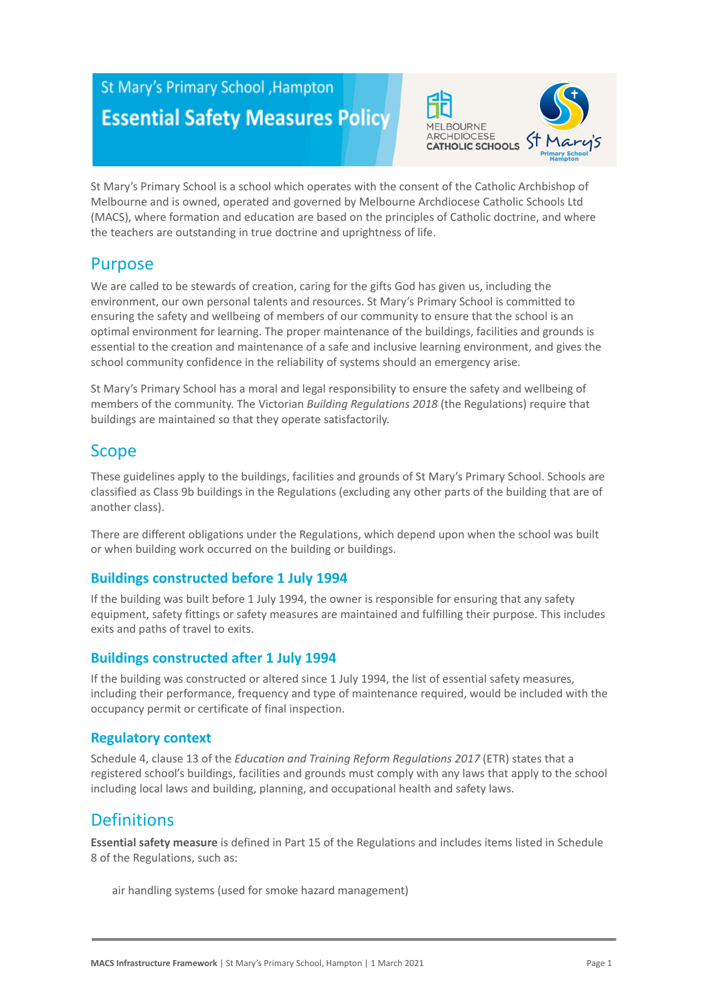# St Mary's Primary School , Hampton **Essential Safety Measures Policy**



St Mary's Primary School is a school which operates with the consent of the Catholic Archbishop of Melbourne and is owned, operated and governed by Melbourne Archdiocese Catholic Schools Ltd (MACS), where formation and education are based on the principles of Catholic doctrine, and where the teachers are outstanding in true doctrine and uprightness of life.

# Purpose

We are called to be stewards of creation, caring for the gifts God has given us, including the environment, our own personal talents and resources. St Mary's Primary School is committed to ensuring the safety and wellbeing of members of our community to ensure that the school is an optimal environment for learning. The proper maintenance of the buildings, facilities and grounds is essential to the creation and maintenance of a safe and inclusive learning environment, and gives the school community confidence in the reliability of systems should an emergency arise.

St Mary's Primary School has a moral and legal responsibility to ensure the safety and wellbeing of members of the community. The Victorian *Building Regulations 2018* (the Regulations) require that buildings are maintained so that they operate satisfactorily.

# Scope

These guidelines apply to the buildings, facilities and grounds of St Mary's Primary School. Schools are classified as Class 9b buildings in the Regulations (excluding any other parts of the building that are of another class).

There are different obligations under the Regulations, which depend upon when the school was built or when building work occurred on the building or buildings.

### **Buildings constructed before 1 July 1994**

If the building was built before 1 July 1994, the owner is responsible for ensuring that any safety equipment, safety fittings or safety measures are maintained and fulfilling their purpose. This includes exits and paths of travel to exits.

### **Buildings constructed after 1 July 1994**

If the building was constructed or altered since 1 July 1994, the list of essential safety measures, including their performance, frequency and type of maintenance required, would be included with the occupancy permit or certificate of final inspection.

### **Regulatory context**

Schedule 4, clause 13 of the *Education and Training Reform Regulations 2017* (ETR) states that a registered school's buildings, facilities and grounds must comply with any laws that apply to the school including local laws and building, planning, and occupational health and safety laws.

# **Definitions**

**Essential safety measure** is defined in Part 15 of the Regulations and includes items listed in Schedule 8 of the Regulations, such as:

air handling systems (used for smoke hazard management)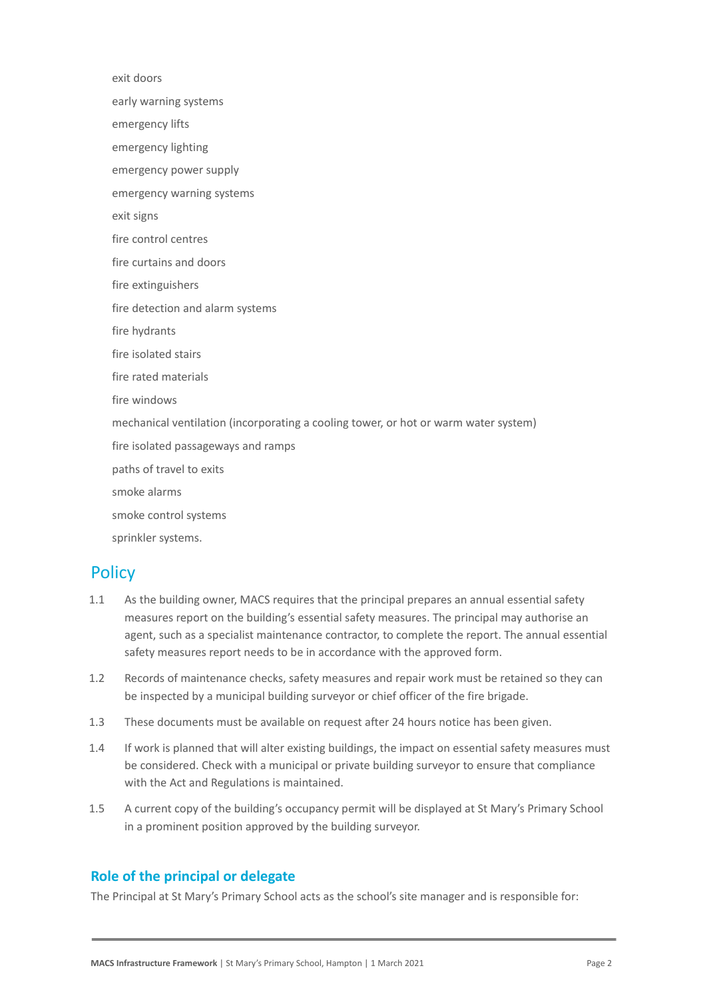exit doors early warning systems emergency lifts emergency lighting emergency power supply emergency warning systems exit signs fire control centres fire curtains and doors fire extinguishers fire detection and alarm systems fire hydrants fire isolated stairs fire rated materials fire windows mechanical ventilation (incorporating a cooling tower, or hot or warm water system) fire isolated passageways and ramps paths of travel to exits smoke alarms smoke control systems sprinkler systems.

### **Policy**

- 1.1 As the building owner, MACS requires that the principal prepares an annual essential safety measures report on the building's essential safety measures. The principal may authorise an agent, such as a specialist maintenance contractor, to complete the report. The annual essential safety measures report needs to be in accordance with the approved form.
- 1.2 Records of maintenance checks, safety measures and repair work must be retained so they can be inspected by a municipal building surveyor or chief officer of the fire brigade.
- 1.3 These documents must be available on request after 24 hours notice has been given.
- 1.4 If work is planned that will alter existing buildings, the impact on essential safety measures must be considered. Check with a municipal or private building surveyor to ensure that compliance with the Act and Regulations is maintained.
- 1.5 A current copy of the building's occupancy permit will be displayed at St Mary's Primary School in a prominent position approved by the building surveyor.

### **Role of the principal or delegate**

The Principal at St Mary's Primary School acts as the school's site manager and is responsible for: